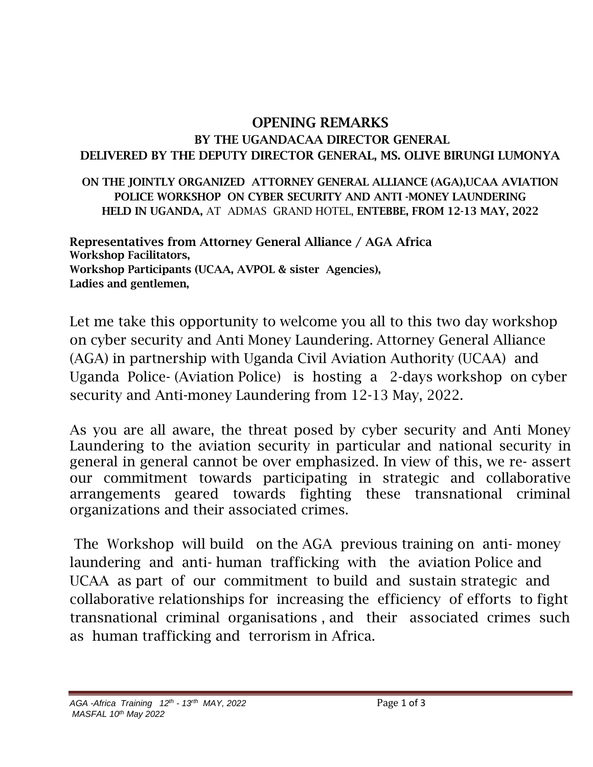## OPENING REMARKS BY THE UGANDACAA DIRECTOR GENERAL DELIVERED BY THE DEPUTY DIRECTOR GENERAL, MS. OLIVE BIRUNGI LUMONYA

ON THE JOINTLY ORGANIZED ATTORNEY GENERAL ALLIANCE (AGA),UCAA AVIATION POLICE WORKSHOP ON CYBER SECURITY AND ANTI -MONEY LAUNDERING HELD IN UGANDA, AT ADMAS GRAND HOTEL, ENTEBBE, FROM 12-13 MAY, 2022

Representatives from Attorney General Alliance / AGA Africa Workshop Facilitators, Workshop Participants (UCAA, AVPOL & sister Agencies), Ladies and gentlemen,

Let me take this opportunity to welcome you all to this two day workshop on cyber security and Anti Money Laundering. Attorney General Alliance (AGA) in partnership with Uganda Civil Aviation Authority (UCAA) and Uganda Police- (Aviation Police) is hosting a 2-days workshop on cyber security and Anti-money Laundering from 12-13 May, 2022.

As you are all aware, the threat posed by cyber security and Anti Money Laundering to the aviation security in particular and national security in general in general cannot be over emphasized. In view of this, we re- assert our commitment towards participating in strategic and collaborative arrangements geared towards fighting these transnational criminal organizations and their associated crimes.

The Workshop will build on the AGA previous training on anti- money laundering and anti- human trafficking with the aviation Police and UCAA as part of our commitment to build and sustain strategic and collaborative relationships for increasing the efficiency of efforts to fight transnational criminal organisations , and their associated crimes such as human trafficking and terrorism in Africa.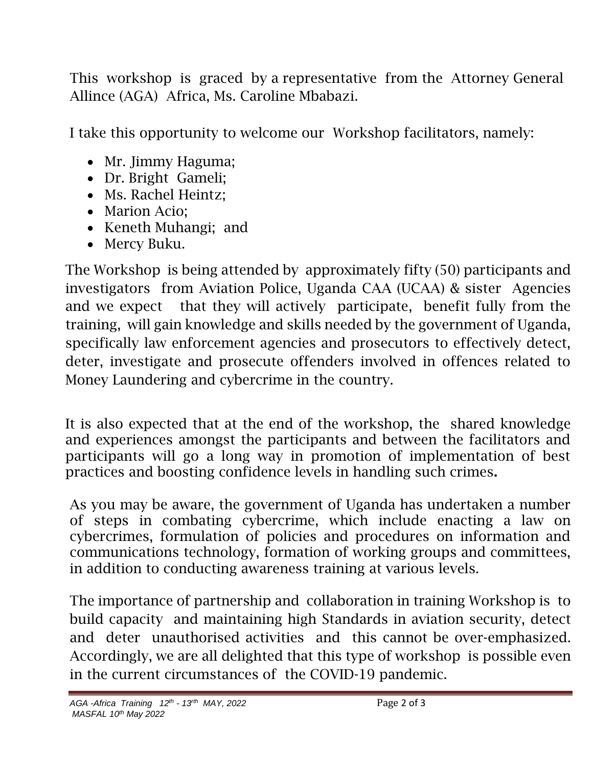This workshop is graced by a representative from the Attorney General Allince (AGA) Africa, Ms. Caroline Mbabazi.

I take this opportunity to welcome our Workshop facilitators, namely:

- Mr. Jimmy Haguma;
- Dr. Bright Gameli;
- Ms. Rachel Heintz;
- Marion Acio;
- Keneth Muhangi; and
- Mercy Buku.

The Workshop is being attended by approximately fifty (50) participants and investigators from Aviation Police, Uganda CAA (UCAA) & sister Agencies and we expect that they will actively participate, benefit fully from the training, will gain knowledge and skills needed by the government of Uganda, specifically law enforcement agencies and prosecutors to effectively detect, deter, investigate and prosecute offenders involved in offences related to Money Laundering and cybercrime in the country.

It is also expected that at the end of the workshop, the shared knowledge and experiences amongst the participants and between the facilitators and participants will go a long way in promotion of implementation of best practices and boosting confidence levels in handling such crimes.

As you may be aware, the government of Uganda has undertaken a number of steps in combating cybercrime, which include enacting a law on cybercrimes, formulation of policies and procedures on information and communications technology, formation of working groups and committees, in addition to conducting awareness training at various levels.

The importance of partnership and collaboration in training Workshop is to build capacity and maintaining high Standards in aviation security, detect and deter unauthorised activities and this cannot be over-emphasized. Accordingly, we are all delighted that this type of workshop is possible even in the current circumstances of the COVID-19 pandemic.